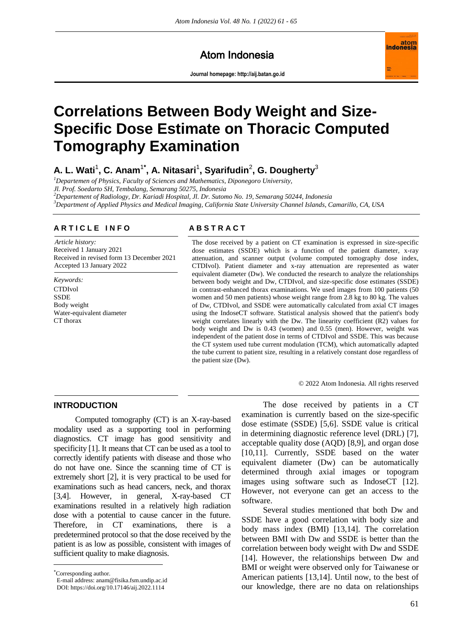## Atom Indonesia

**Journal homepage[: http://aij.batan.go.id](http://aij.batan.go.id/)**



# **Correlations Between Body Weight and Size-Specific Dose Estimate on Thoracic Computed Tomography Examination**

**A. L. Wati**<sup>1</sup> **, C. Anam**<sup>1</sup>**\* , A. Nitasari**<sup>1</sup> **, Syarifudin**<sup>2</sup> **, G. Dougherty**<sup>3</sup>

*<sup>1</sup>Departemen of Physics, Faculty of Sciences and Mathematics, Diponegoro University, Jl. Prof. Soedarto SH, Tembalang, Semarang 50275, Indonesia <sup>2</sup>Departement of Radiology, Dr. Kariadi Hospital, Jl. Dr. Sutomo No. 19, Semarang 50244, Indonesia*

*<sup>3</sup>Department of Applied Physics and Medical Imaging, California State University Channel Islands, Camarillo, CA, USA*

#### **A R T I C L E I N F O A B S T R A C T**

*Article history:* Received 1 January 2021 Received in revised form 13 December 2021 Accepted 13 January 2022

*Keywords:* CTDIvol SSDE Body weight Water-equivalent diameter CT thorax

The dose received by a patient on CT examination is expressed in size-specific dose estimates (SSDE) which is a function of the patient diameter, x-ray attenuation, and scanner output (volume computed tomography dose index, CTDIvol). Patient diameter and x-ray attenuation are represented as water equivalent diameter (Dw). We conducted the research to analyze the relationships between body weight and Dw, CTDIvol, and size-specific dose estimates (SSDE) in contrast-enhanced thorax examinations. We used images from 100 patients (50 women and 50 men patients) whose weight range from 2.8 kg to 80 kg. The values of Dw, CTDIvol, and SSDE were automatically calculated from axial CT images using the IndoseCT software. Statistical analysis showed that the patient's body weight correlates linearly with the Dw. The linearity coefficient (R2) values for body weight and Dw is 0.43 (women) and 0.55 (men). However, weight was independent of the patient dose in terms of CTDIvol and SSDE. This was because the CT system used tube current modulation (TCM), which automatically adapted the tube current to patient size, resulting in a relatively constant dose regardless of the patient size (Dw).

© 2022 Atom Indonesia. All rights reserved

#### **INTRODUCTION**

Computed tomography (CT) is an X-ray-based modality used as a supporting tool in performing diagnostics. CT image has good sensitivity and specificity [1]. It means that CT can be used as a tool to correctly identify patients with disease and those who do not have one. Since the scanning time of CT is extremely short [2], it is very practical to be used for examinations such as head cancers, neck, and thorax [3,4]. However, in general, X-ray-based CT examinations resulted in a relatively high radiation dose with a potential to cause cancer in the future. Therefore, in CT examinations, there is predetermined protocol so that the dose received by the patient is as low as possible, consistent with images of sufficient quality to make diagnosis.

 $\overline{a}$ 

E-mail address: anam@fisika.fsm.undip.ac.id

The dose received by patients in a CT examination is currently based on the size-specific dose estimate (SSDE) [5,6]. SSDE value is critical in determining diagnostic reference level (DRL) [7], acceptable quality dose (AQD) [8,9], and organ dose [10,11]. Currently, SSDE based on the water equivalent diameter (Dw) can be automatically determined through axial images or topogram images using software such as IndoseCT [12]. However, not everyone can get an access to the software.

Several studies mentioned that both Dw and SSDE have a good correlation with body size and body mass index (BMI) [13,14]. The correlation between BMI with Dw and SSDE is better than the correlation between body weight with Dw and SSDE [14]. However, the relationships between Dw and BMI or weight were observed only for Taiwanese or American patients [13,14]. Until now, to the best of our knowledge, there are no data on relationships

Corresponding author.

DOI: https://doi.org/10.17146/aij.2022.1114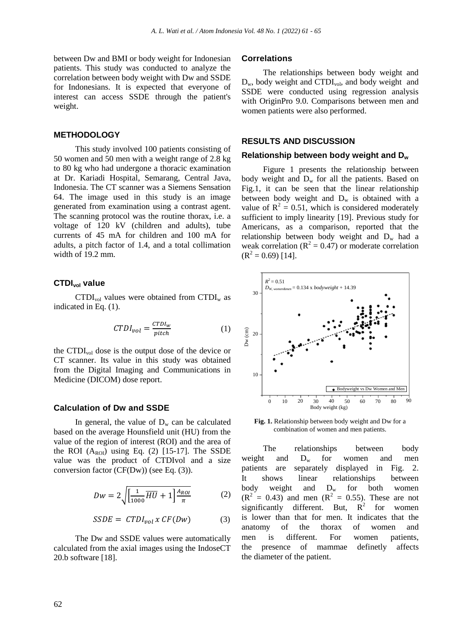between Dw and BMI or body weight for Indonesian patients. This study was conducted to analyze the correlation between body weight with Dw and SSDE for Indonesians. It is expected that everyone of interest can access SSDE through the patient's weight.

#### **METHODOLOGY**

This study involved 100 patients consisting of 50 women and 50 men with a weight range of 2.8 kg to 80 kg who had undergone a thoracic examination at Dr. Kariadi Hospital, Semarang, Central Java, Indonesia. The CT scanner was a Siemens Sensation 64. The image used in this study is an image generated from examination using a contrast agent. The scanning protocol was the routine thorax, i.e. a voltage of 120 kV (children and adults), tube currents of 45 mA for children and 100 mA for adults, a pitch factor of 1.4, and a total collimation width of 19.2 mm.

#### **CTDIvol value**

 $CTDI<sub>vol</sub>$  values were obtained from  $CTDI<sub>w</sub>$  as indicated in Eq. (1).

$$
CTDI_{vol} = \frac{CTDI_w}{pitch} \tag{1}
$$

the CTDIvol dose is the output dose of the device or CT scanner. Its value in this study was obtained from the Digital Imaging and Communications in Medicine (DICOM) dose report.

#### **Calculation of Dw and SSDE**

In general, the value of  $D_w$  can be calculated based on the average Hounsfield unit (HU) from the value of the region of interest (ROI) and the area of the ROI  $(A_{ROI})$  using Eq. (2) [15-17]. The SSDE value was the product of CTDIvol and a size conversion factor (CF(Dw)) (see Eq. (3)).

$$
Dw = 2\sqrt{\left[\frac{1}{1000}\overline{HU} + 1\right]\frac{A_{ROI}}{\pi}}\tag{2}
$$

$$
SSDE = CTDI_{vol} \times CF(Dw) \tag{3}
$$

The Dw and SSDE values were automatically calculated from the axial images using the IndoseCT 20.b software [18].

#### **Correlations**

The relationships between body weight and  $D_w$ , body weight and CTDI<sub>vol</sub>, and body weight and SSDE were conducted using regression analysis with OriginPro 9.0. Comparisons between men and women patients were also performed.

#### **RESULTS AND DISCUSSION**

#### **Relationship between body weight and D<sup>w</sup>**

Figure 1 presents the relationship between body weight and  $D_w$  for all the patients. Based on Fig.1, it can be seen that the linear relationship between body weight and  $D_w$  is obtained with a value of  $R^2 = 0.51$ , which is considered moderately sufficient to imply linearity [19]. Previous study for Americans, as a comparison, reported that the relationship between body weight and  $D_w$  had a weak correlation ( $R^2 = 0.47$ ) or moderate correlation  $(R<sup>2</sup> = 0.69)$  [14].



**Fig. 1.** Relationship between body weight and Dw for a combination of women and men patients.

The relationships between body weight and  $D_w$  for women and men patients are separately displayed in Fig. 2. It shows linear relationships between body weight and  $D_w$  for both women  $(R^{2} = 0.43)$  and men  $(R^{2} = 0.55)$ . These are not significantly different. But,  $R^2$ for women is lower than that for men. It indicates that the anatomy of the thorax of women and men is different. For women patients, the presence of mammae definetly affects the diameter of the patient.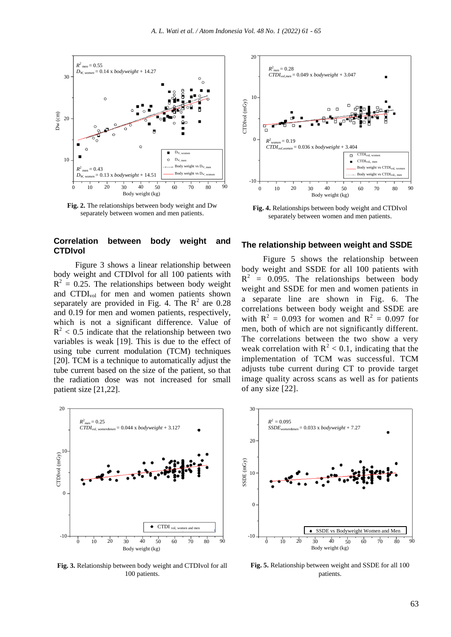

**Fig. 2.** The relationships between body weight and Dw separately between women and men patients.

### **Correlation between body weight and CTDIvol**

Figure 3 shows a linear relationship between body weight and CTDIvol for all 100 patients with  $R^2 = 0.25$ . The relationships between body weight and CTDIvol for men and women patients shown separately are provided in Fig. 4. The  $R^2$  are 0.28 and 0.19 for men and women patients, respectively, which is not a significant difference. Value of  $R<sup>2</sup> < 0.5$  indicate that the relationship between two variables is weak [19]. This is due to the effect of using tube current modulation (TCM) techniques [20]. TCM is a technique to automatically adjust the tube current based on the size of the patient, so that the radiation dose was not increased for small patient size [21,22].



**Fig. 3.** Relationship between body weight and CTDIvol for all 100 patients.



**Fig. 4.** Relationships between body weight and CTDIvol separately between women and men patients.

#### **The relationship between weight and SSDE**

Figure 5 shows the relationship between body weight and SSDE for all 100 patients with  $R^2$  = 0.095. The relationships between body weight and SSDE for men and women patients in a separate line are shown in Fig. 6. The correlations between body weight and SSDE are with  $R^2 = 0.093$  for women and  $R^2 = 0.097$  for men, both of which are not significantly different. The correlations between the two show a very weak correlation with  $R^2$  < 0.1, indicating that the implementation of TCM was successful. TCM adjusts tube current during CT to provide target image quality across scans as well as for patients of any size [22].



**Fig. 5.** Relationship between weight and SSDE for all 100 patients.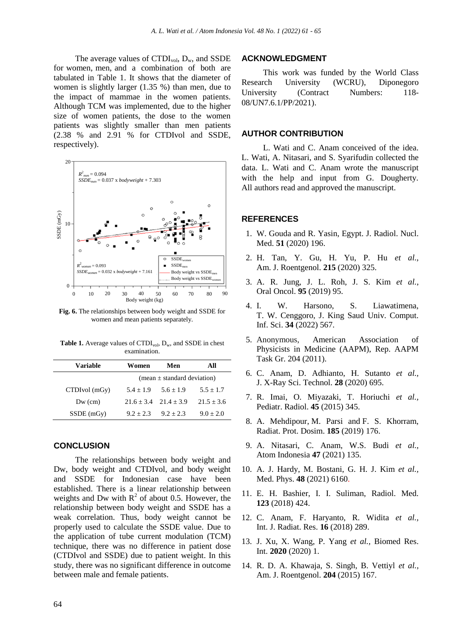The average values of  $CTDI_{vol}$ ,  $D_w$ , and SSDE for women, men, and a combination of both are tabulated in Table 1. It shows that the diameter of women is slightly larger (1.35 %) than men, due to the impact of mammae in the women patients. Although TCM was implemented, due to the higher size of women patients, the dose to the women patients was slightly smaller than men patients (2.38 % and 2.91 % for CTDIvol and SSDE, respectively).



**Fig. 6.** The relationships between body weight and SSDE for women and mean patients separately.

Table 1. Average values of CTDI<sub>vol</sub>, D<sub>w</sub>, and SSDE in chest examination.

| Variable      | Women                           | Men          | All          |
|---------------|---------------------------------|--------------|--------------|
|               | (mean $\pm$ standard deviation) |              |              |
| CTDIvol (mGy) | $5.4 + 1.9$                     | $5.6 + 1.9$  | $5.5 + 1.7$  |
| $Dw$ (cm)     | $21.6 + 3.4$                    | $21.4 + 3.9$ | $21.5 + 3.6$ |
| $SSDE$ (mGy)  | $9.2 + 2.3$                     | $9.2 + 2.3$  | $9.0 + 2.0$  |

#### **CONCLUSION**

The relationships between body weight and Dw, body weight and CTDIvol, and body weight and SSDE for Indonesian case have been established. There is a linear relationship between weights and Dw with  $R^2$  of about 0.5. However, the relationship between body weight and SSDE has a weak correlation. Thus, body weight cannot be properly used to calculate the SSDE value. Due to the application of tube current modulation (TCM) technique, there was no difference in patient dose (CTDIvol and SSDE) due to patient weight. In this study, there was no significant difference in outcome between male and female patients.

#### **ACKNOWLEDGMENT**

This work was funded by the World Class Research University (WCRU), Diponegoro University (Contract Numbers: 118-08/UN7.6.1/PP/2021).

#### **AUTHOR CONTRIBUTION**

L. Wati and C. Anam conceived of the idea. L. Wati, A. Nitasari, and S. Syarifudin collected the data. L. Wati and C. Anam wrote the manuscript with the help and input from G. Dougherty. All authors read and approved the manuscript.

#### **REFERENCES**

- 1. W. Gouda and R. Yasin, Egypt. J. Radiol. Nucl. Med. **51** (2020) 196.
- 2. H. Tan, Y. Gu, H. Yu, P. Hu *et al.*, Am. J. Roentgenol. **215** (2020) 325.
- 3. A. R. Jung, J. L. Roh, J. S. Kim *et al.*, Oral Oncol. **95** (2019) 95.
- 4. I. W. Harsono, S. Liawatimena, T. W. Cenggoro, J. King Saud Univ. Comput. Inf. Sci. **34** (2022) 567.
- 5. Anonymous, American Association of Physicists in Medicine (AAPM), Rep. AAPM Task Gr. 204 (2011).
- 6. C. Anam, D. Adhianto, H. Sutanto *et al.,* J. X-Ray Sci. Technol. **28** (2020) 695.
- 7. R. Imai, O. Miyazaki, T. Horiuchi *et al.,* Pediatr. Radiol. **45** (2015) 345.
- 8. [A. Mehdipour,](https://pubmed.ncbi.nlm.nih.gov/?term=Mehdipour+A&cauthor_id=30824932) [M. Parsi](https://pubmed.ncbi.nlm.nih.gov/?term=Parsi+M&cauthor_id=30824932) and F. S. [Khorram,](https://pubmed.ncbi.nlm.nih.gov/?term=Khorram+FS&cauthor_id=30824932) Radiat. Prot. Dosim. **185** (2019) 176.
- 9. A. Nitasari, C. Anam, W.S. Budi *et al.,* Atom Indonesia **47** (2021) 135.
- 10. A. J. Hardy, M. Bostani, G. H. J. Kim *et al.,* Med. Phys. **48** (2021) 6160.
- 11. E. H. Bashier, I. I. Suliman, Radiol. Med. **123** (2018) 424.
- 12. C. Anam, F. Haryanto, R. Widita *et al.,* Int. J. Radiat. Res. **16** (2018) 289.
- 13. J. Xu, X. Wang, P. Yang *et al.,* Biomed Res. Int. **2020** (2020) 1.
- 14. R. D. A. Khawaja, S. Singh, B. Vettiyl *et al.,* Am. J. Roentgenol. **204** (2015) 167.